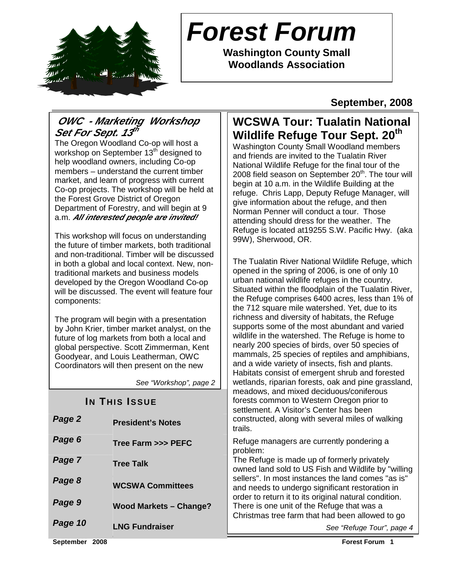

# **Forest Forum**

**Washington County Small Woodlands Association** 

**September, 2008** 

# **OWC - Marketing Workshop**  Set For Sept. 13th

The Oregon Woodland Co-op will host a workshop on September 13<sup>th</sup> designed to help woodland owners, including Co-op members – understand the current timber market, and learn of progress with current Co-op projects. The workshop will be held at the Forest Grove District of Oregon Department of Forestry, and will begin at 9 a.m. **All interested people are invited!**

This workshop will focus on understanding the future of timber markets, both traditional and non-traditional. Timber will be discussed in both a global and local context. New, nontraditional markets and business models developed by the Oregon Woodland Co-op will be discussed. The event will feature four components:

The program will begin with a presentation by John Krier, timber market analyst, on the future of log markets from both a local and global perspective. Scott Zimmerman, Kent Goodyear, and Louis Leatherman, OWC Coordinators will then present on the new

See "Workshop", page 2

# **IN THIS ISSUE**

| Page 2  | <b>President's Notes</b>      |        |
|---------|-------------------------------|--------|
| Page 6  | Tree Farm >>> PEFC            | F      |
| Page 7  | <b>Tree Talk</b>              | p<br>T |
| Page 8  | <b>WCSWA Committees</b>       | S      |
|         |                               | a      |
| Page 9  | <b>Wood Markets - Change?</b> | T      |
| Page 10 | <b>LNG Fundraiser</b>         |        |

# **WCSWA Tour: Tualatin National Wildlife Refuge Tour Sept. 20th**

Washington County Small Woodland members and friends are invited to the Tualatin River National Wildlife Refuge for the final tour of the 2008 field season on September  $20<sup>th</sup>$ . The tour will begin at 10 a.m. in the Wildlife Building at the refuge. Chris Lapp, Deputy Refuge Manager, will give information about the refuge, and then Norman Penner will conduct a tour. Those attending should dress for the weather. The Refuge is located at19255 S.W. Pacific Hwy. (aka 99W), Sherwood, OR.

The Tualatin River National Wildlife Refuge, which opened in the spring of 2006, is one of only 10 urban national wildlife refuges in the country. Situated within the floodplain of the Tualatin River, the Refuge comprises 6400 acres, less than 1% of the 712 square mile watershed. Yet, due to its richness and diversity of habitats, the Refuge supports some of the most abundant and varied wildlife in the watershed. The Refuge is home to nearly 200 species of birds, over 50 species of mammals, 25 species of reptiles and amphibians, and a wide variety of insects, fish and plants. Habitats consist of emergent shrub and forested wetlands, riparian forests, oak and pine grassland, meadows, and mixed deciduous/coniferous forests common to Western Oregon prior to settlement. A Visitor's Center has been constructed, along with several miles of walking rails.

Refuge managers are currently pondering a problem:

The Refuge is made up of formerly privately wned land sold to US Fish and Wildlife by "willing sellers". In most instances the land comes "as is" and needs to undergo significant restoration in order to return it to its original natural condition. There is one unit of the Refuge that was a Christmas tree farm that had been allowed to go

See "Refuge Tour", page 4

**September 2008 Forest Forum 1**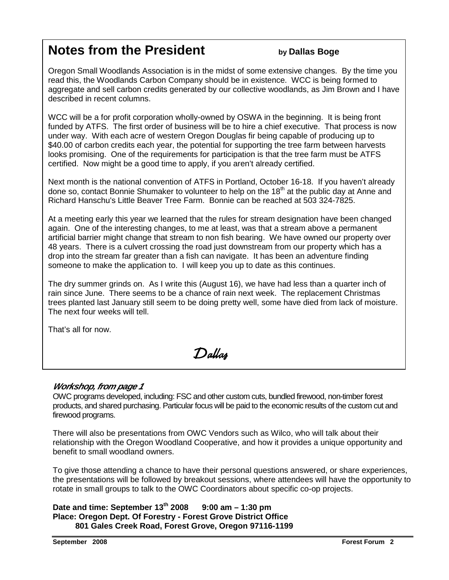# **Notes from the President by Dallas Boge**

Oregon Small Woodlands Association is in the midst of some extensive changes. By the time you read this, the Woodlands Carbon Company should be in existence. WCC is being formed to aggregate and sell carbon credits generated by our collective woodlands, as Jim Brown and I have described in recent columns.

WCC will be a for profit corporation wholly-owned by OSWA in the beginning. It is being front funded by ATFS. The first order of business will be to hire a chief executive. That process is now under way. With each acre of western Oregon Douglas fir being capable of producing up to \$40.00 of carbon credits each year, the potential for supporting the tree farm between harvests looks promising. One of the requirements for participation is that the tree farm must be ATFS certified. Now might be a good time to apply, if you aren't already certified.

Next month is the national convention of ATFS in Portland, October 16-18. If you haven't already done so, contact Bonnie Shumaker to volunteer to help on the 18<sup>th</sup> at the public day at Anne and Richard Hanschu's Little Beaver Tree Farm. Bonnie can be reached at 503 324-7825.

At a meeting early this year we learned that the rules for stream designation have been changed again. One of the interesting changes, to me at least, was that a stream above a permanent artificial barrier might change that stream to non fish bearing. We have owned our property over 48 years. There is a culvert crossing the road just downstream from our property which has a drop into the stream far greater than a fish can navigate. It has been an adventure finding someone to make the application to. I will keep you up to date as this continues.

The dry summer grinds on. As I write this (August 16), we have had less than a quarter inch of rain since June. There seems to be a chance of rain next week. The replacement Christmas trees planted last January still seem to be doing pretty well, some have died from lack of moisture. The next four weeks will tell.

That's all for now.

Dallas

### **Workshop, from page 1**

OWC programs developed, including: FSC and other custom cuts, bundled firewood, non-timber forest products, and shared purchasing. Particular focus will be paid to the economic results of the custom cut and firewood programs.

There will also be presentations from OWC Vendors such as Wilco, who will talk about their relationship with the Oregon Woodland Cooperative, and how it provides a unique opportunity and benefit to small woodland owners.

To give those attending a chance to have their personal questions answered, or share experiences, the presentations will be followed by breakout sessions, where attendees will have the opportunity to rotate in small groups to talk to the OWC Coordinators about specific co-op projects.

```
Date and time: September 13th 2008 9:00 am – 1:30 pm 
Place: Oregon Dept. Of Forestry - Forest Grove District Office 
      801 Gales Creek Road, Forest Grove, Oregon 97116-1199
```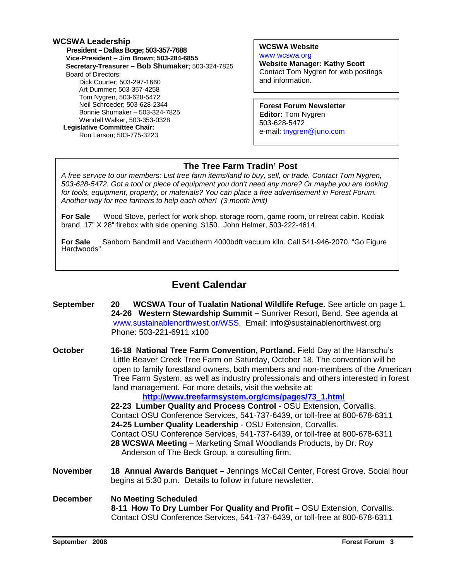### **WCSWA Leadership**

 **President – Dallas Boge; 503-357-7688 Vice-President** – **Jim Brown; 503-284-6855 Secretary-Treasurer – Bob Shumaker**; 503-324-7825 Board of Directors: Dick Courter; 503-297-1660 Art Dummer; 503-357-4258 Tom Nygren, 503-628-5472 Neil Schroeder; 503-628-2344 Bonnie Shumaker – 503-324-7825 Wendell Walker, 503-353-0328  **Legislative Committee Chair:**  Ron Larson; 503-775-3223

**WCSWA Website** www.wcswa.org

**Website Manager: Kathy Scott** Contact Tom Nygren for web postings and information.

**Forest Forum Newsletter Editor:** Tom Nygren 503-628-5472 e-mail: tnygren@juno.com

### **The Tree Farm Tradin' Post**

 for tools, equipment, property, or materials? You can place a free advertisement in Forest Forum. A free service to our members: List tree farm items/land to buy, sell, or trade. Contact Tom Nygren, 503-628-5472. Got a tool or piece of equipment you don't need any more? Or maybe you are looking Another way for tree farmers to help each other! (3 month limit)

**For Sale** Wood Stove, perfect for work shop, storage room, game room, or retreat cabin. Kodiak brand, 17" X 28" firebox with side opening. \$150. John Helmer, 503-222-4614.

**For Sale** Sanborn Bandmill and Vacutherm 4000bdft vacuum kiln. Call 541-946-2070, "Go Figure Hardwoods"

# **Event Calendar**

- **September 20 WCSWA Tour of Tualatin National Wildlife Refuge.** See article on page 1. **24-26 Western Stewardship Summit –** Sunriver Resort, Bend. See agenda at www.sustainablenorthwest.or/WSS, Email: info@sustainablenorthwest.org Phone: 503-221-6911 x100
- **October 16-18 National Tree Farm Convention, Portland.** Field Day at the Hanschu's Little Beaver Creek Tree Farm on Saturday, October 18. The convention will be open to family forestland owners, both members and non-members of the American Tree Farm System, as well as industry professionals and others interested in forest land management. For more details, visit the website at:

 **http://www.treefarmsystem.org/cms/pages/73\_1.html 22-23 Lumber Quality and Process Control** - OSU Extension, Corvallis. Contact OSU Conference Services, 541-737-6439, or toll-free at 800-678-6311 **24-25 Lumber Quality Leadership** - OSU Extension, Corvallis. Contact OSU Conference Services, 541-737-6439, or toll-free at 800-678-6311  **28 WCSWA Meeting** – Marketing Small Woodlands Products, by Dr. Roy Anderson of The Beck Group, a consulting firm.

- **November 18 Annual Awards Banquet** Jennings McCall Center, Forest Grove. Social hour begins at 5:30 p.m. Details to follow in future newsletter.
- **December No Meeting Scheduled 8-11 How To Dry Lumber For Quality and Profit –** OSU Extension, Corvallis. Contact OSU Conference Services, 541-737-6439, or toll-free at 800-678-6311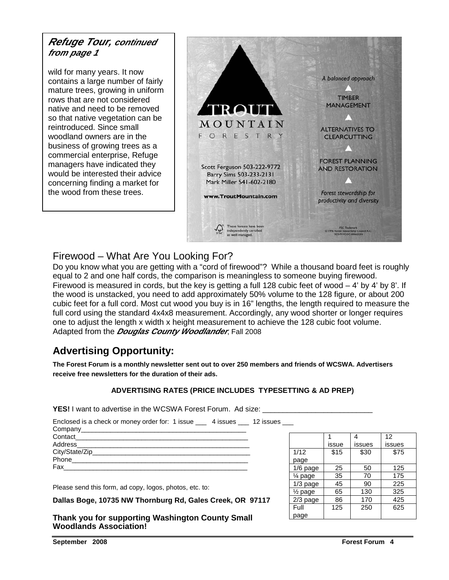# **Refuge Tour, continued from page 1**

wild for many years. It now contains a large number of fairly mature trees, growing in uniform rows that are not considered native and need to be removed so that native vegetation can be reintroduced. Since small woodland owners are in the business of growing trees as a commercial enterprise, Refuge managers have indicated they would be interested their advice concerning finding a market for the wood from these trees.



# Firewood – What Are You Looking For?

Do you know what you are getting with a "cord of firewood"? While a thousand board feet is roughly equal to 2 and one half cords, the comparison is meaningless to someone buying firewood. Firewood is measured in cords, but the key is getting a full 128 cubic feet of wood – 4' by 4' by 8'. If the wood is unstacked, you need to add approximately 50% volume to the 128 figure, or about 200 cubic feet for a full cord. Most cut wood you buy is in 16" lengths, the length required to measure the full cord using the standard 4x4x8 measurement. Accordingly, any wood shorter or longer requires one to adjust the length x width x height measurement to achieve the 128 cubic foot volume. Adapted from the **Douglas County Woodlander**, Fall 2008

# **Advertising Opportunity:**

**The Forest Forum is a monthly newsletter sent out to over 250 members and friends of WCSWA. Advertisers receive free newsletters for the duration of their ads.** 

### **ADVERTISING RATES (PRICE INCLUDES TYPESETTING & AD PREP)**

**YES!** I want to advertise in the WCSWA Forest Forum. Ad size:

Enclosed is a check or money order for: 1 issue \_\_\_ 4 issues \_\_\_ 12 issues \_\_\_

| Contact<br><u> 1989 - Jan James James James James James James James James James James James James James James James James J</u> |
|---------------------------------------------------------------------------------------------------------------------------------|
|                                                                                                                                 |
|                                                                                                                                 |
| Phone                                                                                                                           |
| Fax                                                                                                                             |
|                                                                                                                                 |

Please send this form, ad copy, logos, photos, etc. to:

**Dallas Boge, 10735 NW Thornburg Rd, Gales Creek, OR 97117** 

**Thank you for supporting Washington County Small Woodlands Association!** 

|                    |       |        | 12     |
|--------------------|-------|--------|--------|
|                    | issue | issues | issues |
| 1/12               | \$15  | \$30   | \$75   |
| page               |       |        |        |
| $1/6$ page         | 25    | 50     | 125    |
| 1⁄4 page           | 35    | 70     | 175    |
| $1/3$ page         | 45    | 90     | 225    |
| $\frac{1}{2}$ page | 65    | 130    | 325    |
| $2/3$ page         | 86    | 170    | 425    |
| Full               | 125   | 250    | 625    |
| page               |       |        |        |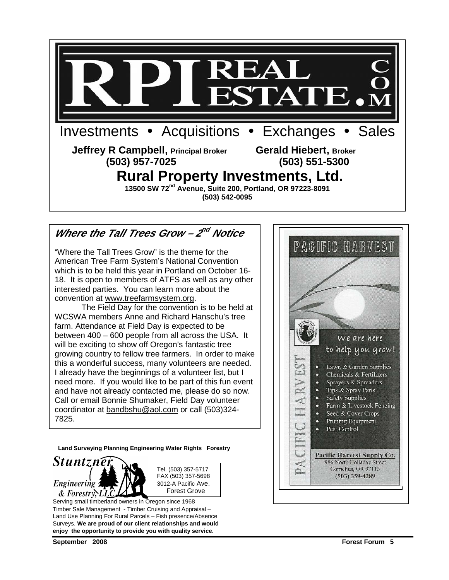

# Where the Tall Trees Grow – 2<sup>nd</sup> Notice

"Where the Tall Trees Grow" is the theme for the American Tree Farm System's National Convention which is to be held this year in Portland on October 16- 18. It is open to members of ATFS as well as any other interested parties. You can learn more about the convention at www.treefarmsystem.org.

 The Field Day for the convention is to be held at WCSWA members Anne and Richard Hanschu's tree farm. Attendance at Field Day is expected to be between 400 – 600 people from all across the USA. It will be exciting to show off Oregon's fantastic tree growing country to fellow tree farmers. In order to make this a wonderful success, many volunteers are needed. I already have the beginnings of a volunteer list, but I need more. If you would like to be part of this fun event and have not already contacted me, please do so now. Call or email Bonnie Shumaker, Field Day volunteer coordinator at bandbshu@aol.com or call (503)324- 7825.

**Land Surveying Planning Engineering Water Rights Forestry** 





Serving small timberland owners in Oregon since 1968 Timber Sale Management - Timber Cruising and Appraisal – Land Use Planning For Rural Parcels – Fish presence/Absence Surveys. **We are proud of our client relationships and would enjoy the opportunity to provide you with quality service.** 

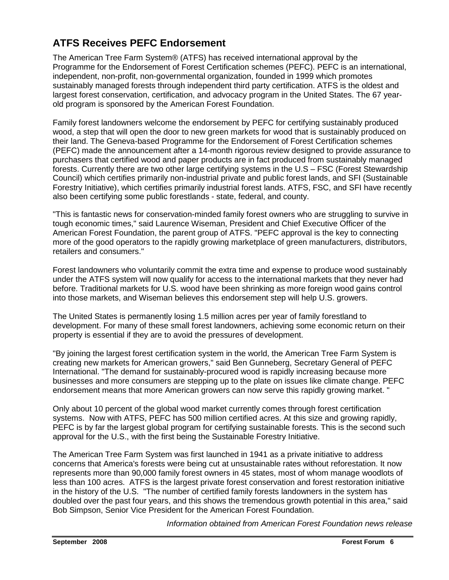# **ATFS Receives PEFC Endorsement**

The American Tree Farm System® (ATFS) has received international approval by the Programme for the Endorsement of Forest Certification schemes (PEFC). PEFC is an international, independent, non-profit, non-governmental organization, founded in 1999 which promotes sustainably managed forests through independent third party certification. ATFS is the oldest and largest forest conservation, certification, and advocacy program in the United States. The 67 yearold program is sponsored by the American Forest Foundation.

Family forest landowners welcome the endorsement by PEFC for certifying sustainably produced wood, a step that will open the door to new green markets for wood that is sustainably produced on their land. The Geneva-based Programme for the Endorsement of Forest Certification schemes (PEFC) made the announcement after a 14-month rigorous review designed to provide assurance to purchasers that certified wood and paper products are in fact produced from sustainably managed forests. Currently there are two other large certifying systems in the U.S – FSC (Forest Stewardship Council) which certifies primarily non-industrial private and public forest lands, and SFI (Sustainable Forestry Initiative), which certifies primarily industrial forest lands. ATFS, FSC, and SFI have recently also been certifying some public forestlands - state, federal, and county.

"This is fantastic news for conservation-minded family forest owners who are struggling to survive in tough economic times," said Laurence Wiseman, President and Chief Executive Officer of the American Forest Foundation, the parent group of ATFS. "PEFC approval is the key to connecting more of the good operators to the rapidly growing marketplace of green manufacturers, distributors, retailers and consumers."

Forest landowners who voluntarily commit the extra time and expense to produce wood sustainably under the ATFS system will now qualify for access to the international markets that they never had before. Traditional markets for U.S. wood have been shrinking as more foreign wood gains control into those markets, and Wiseman believes this endorsement step will help U.S. growers.

The United States is permanently losing 1.5 million acres per year of family forestland to development. For many of these small forest landowners, achieving some economic return on their property is essential if they are to avoid the pressures of development.

"By joining the largest forest certification system in the world, the American Tree Farm System is creating new markets for American growers," said Ben Gunneberg, Secretary General of PEFC International. "The demand for sustainably-procured wood is rapidly increasing because more businesses and more consumers are stepping up to the plate on issues like climate change. PEFC endorsement means that more American growers can now serve this rapidly growing market. "

Only about 10 percent of the global wood market currently comes through forest certification systems. Now with ATFS, PEFC has 500 million certified acres. At this size and growing rapidly, PEFC is by far the largest global program for certifying sustainable forests. This is the second such approval for the U.S., with the first being the Sustainable Forestry Initiative.

The American Tree Farm System was first launched in 1941 as a private initiative to address concerns that America's forests were being cut at unsustainable rates without reforestation. It now represents more than 90,000 family forest owners in 45 states, most of whom manage woodlots of less than 100 acres. ATFS is the largest private forest conservation and forest restoration initiative in the history of the U.S. "The number of certified family forests landowners in the system has doubled over the past four years, and this shows the tremendous growth potential in this area," said Bob Simpson, Senior Vice President for the American Forest Foundation.

Information obtained from American Forest Foundation news release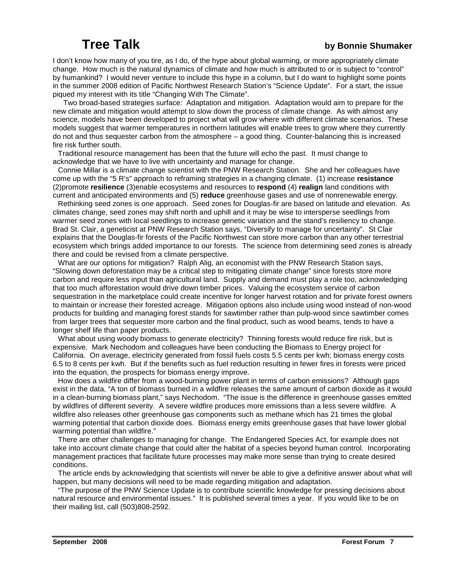# **Tree Talk by Bonnie Shumaker**

I don't know how many of you tire, as I do, of the hype about global warming, or more appropriately climate change. How much is the natural dynamics of climate and how much is attributed to or is subject to "control" by humankind? I would never venture to include this hype in a column, but I do want to highlight some points in the summer 2008 edition of Pacific Northwest Research Station's "Science Update". For a start, the issue piqued my interest with its title "Changing With The Climate".

 Two broad-based strategies surface: Adaptation and mitigation. Adaptation would aim to prepare for the new climate and mitigation would attempt to slow down the process of climate change. As with almost any science, models have been developed to project what will grow where with different climate scenarios. These models suggest that warmer temperatures in northern latitudes will enable trees to grow where they currently do not and thus sequester carbon from the atmosphere – a good thing. Counter-balancing this is increased fire risk further south.

 Traditional resource management has been that the future will echo the past. It must change to acknowledge that we have to live with uncertainty and manage for change.

 Connie Millar is a climate change scientist with the PNW Research Station. She and her colleagues have come up with the "5 R's" approach to reframing strategies in a changing climate. (1) increase **resistance** (2)promote **resilience** (3)enable ecosystems and resources to **respond** (4) **realign** land conditions with current and anticipated environments and (5) **reduce** greenhouse gases and use of nonrenewable energy.

 Rethinking seed zones is one approach. Seed zones for Douglas-fir are based on latitude and elevation. As climates change, seed zones may shift north and uphill and it may be wise to intersperse seedlings from warmer seed zones with local seedlings to increase genetic variation and the stand's resiliency to change. Brad St. Clair, a geneticist at PNW Research Station says, "Diversify to manage for uncertainty". St Clair explains that the Douglas-fir forests of the Pacific Northwest can store more carbon than any other terrestrial ecosystem which brings added importance to our forests. The science from determining seed zones is already there and could be revised from a climate perspective.

 What are our options for mitigation? Ralph Alig, an economist with the PNW Research Station says, "Slowing down deforestation may be a critical step to mitigating climate change" since forests store more carbon and require less input than agricultural land. Supply and demand must play a role too, acknowledging that too much afforestation would drive down timber prices. Valuing the ecosystem service of carbon sequestration in the marketplace could create incentive for longer harvest rotation and for private forest owners to maintain or increase their forested acreage. Mitigation options also include using wood instead of non-wood products for building and managing forest stands for sawtimber rather than pulp-wood since sawtimber comes from larger trees that sequester more carbon and the final product, such as wood beams, tends to have a longer shelf life than paper products.

What about using woody biomass to generate electricity? Thinning forests would reduce fire risk, but is expensive. Mark Nechodom and colleagues have been conducting the Biomass to Energy project for California. On average, electricity generated from fossil fuels costs 5.5 cents per kwh; biomass energy costs 6.5 to 8 cents per kwh. But if the benefits such as fuel reduction resulting in fewer fires in forests were priced into the equation, the prospects for biomass energy improve.

 How does a wildfire differ from a wood-burning power plant in terms of carbon emissions? Although gaps exist in the data, "A ton of biomass burned in a wildfire releases the same amount of carbon dioxide as it would in a clean-burning biomass plant," says Nechodom. "The issue is the difference in greenhouse gasses emitted by wildfires of different severity. A severe wildfire produces more emissions than a less severe wildfire. A wildfire also releases other greenhouse gas components such as methane which has 21 times the global warming potential that carbon dioxide does. Biomass energy emits greenhouse gases that have lower global warming potential than wildfire."

 There are other challenges to managing for change. The Endangered Species Act, for example does not take into account climate change that could alter the habitat of a species beyond human control. Incorporating management practices that facilitate future processes may make more sense than trying to create desired conditions.

 The article ends by acknowledging that scientists will never be able to give a definitive answer about what will happen, but many decisions will need to be made regarding mitigation and adaptation.

 "The purpose of the PNW Science Update is to contribute scientific knowledge for pressing decisions about natural resource and environmental issues." It is published several times a year. If you would like to be on their mailing list, call (503)808-2592.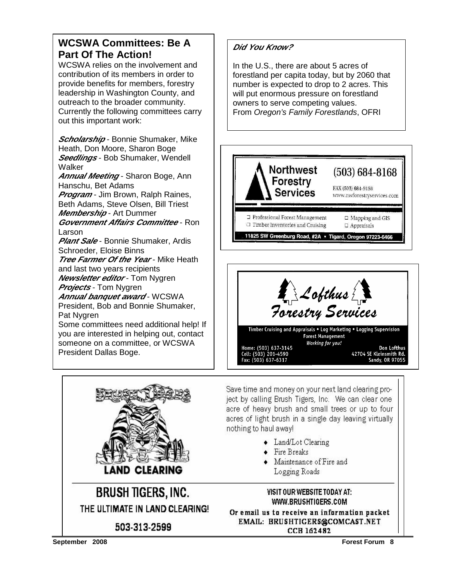# **WCSWA Committees: Be A Part Of The Action!**

WCSWA relies on the involvement and contribution of its members in order to provide benefits for members, forestry leadership in Washington County, and outreach to the broader community. Currently the following committees carry out this important work:

**Scholarship** - Bonnie Shumaker, Mike Heath, Don Moore, Sharon Boge **Seedlings** - Bob Shumaker, Wendell Walker

**Annual Meeting** - Sharon Boge, Ann Hanschu, Bet Adams

**Program** - Jim Brown, Ralph Raines, Beth Adams, Steve Olsen, Bill Triest **Membership** - Art Dummer

**Government Affairs Committee** - Ron Larson

**Plant Sale** - Bonnie Shumaker, Ardis Schroeder, Eloise Binns

**Tree Farmer Of the Year - Mike Heath** and last two years recipients

**Newsletter editor** - Tom Nygren **Projects** - Tom Nygren

**Annual banquet award - WCSWA** President, Bob and Bonnie Shumaker, Pat Nygren

Some committees need additional help! If you are interested in helping out, contact someone on a committee, or WCSWA President Dallas Boge.



In the U.S., there are about 5 acres of forestland per capita today, but by 2060 that number is expected to drop to 2 acres. This will put enormous pressure on forestland owners to serve competing values. From Oregon's Family Forestlands, OFRI







**BRUSH TIGERS, INC.** THE ULTIMATE IN LAND CLEARING! 503-313-2599

Save time and money on your next land clearing project by calling Brush Tigers, Inc. We can clear one acre of heavy brush and small trees or up to four acres of light brush in a single day leaving virtually nothing to haul away!

- Land/Lot Clearing
- Fire Breaks
- Maintenance of Fire and Logging Roads

### VISIT OUR WEBSITE TODAY AT: WWW.BRUSHTIGERS.COM

Or email us to receive an information packet EMAIL: BRUSHTIGERS@COMCAST.NET CCB 162482

**September 2008 Forest Forum 8**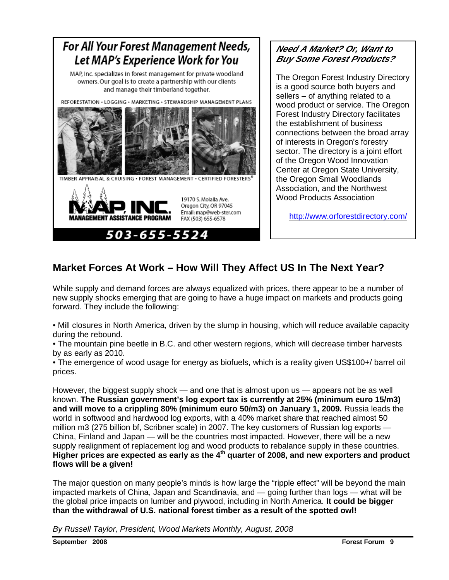

# **Need A Market? Or, Want to Buy Some Forest Products?**

The Oregon Forest Industry Directory is a good source both buyers and sellers – of anything related to a wood product or service. The Oregon Forest Industry Directory facilitates the establishment of business connections between the broad array of interests in Oregon's forestry sector. The directory is a joint effort of the Oregon Wood Innovation Center at Oregon State University, the Oregon Small Woodlands Association, and the Northwest Wood Products Association

http://www.orforestdirectory.com/

# **Market Forces At Work – How Will They Affect US In The Next Year?**

While supply and demand forces are always equalized with prices, there appear to be a number of new supply shocks emerging that are going to have a huge impact on markets and products going forward. They include the following:

• Mill closures in North America, driven by the slump in housing, which will reduce available capacity during the rebound.

• The mountain pine beetle in B.C. and other western regions, which will decrease timber harvests by as early as 2010.

• The emergence of wood usage for energy as biofuels, which is a reality given US\$100+/ barrel oil prices.

However, the biggest supply shock — and one that is almost upon us — appears not be as well known. **The Russian government's log export tax is currently at 25% (minimum euro 15/m3) and will move to a crippling 80% (minimum euro 50/m3) on January 1, 2009.** Russia leads the world in softwood and hardwood log exports, with a 40% market share that reached almost 50 million m3 (275 billion bf, Scribner scale) in 2007. The key customers of Russian log exports — China, Finland and Japan — will be the countries most impacted. However, there will be a new supply realignment of replacement log and wood products to rebalance supply in these countries. **Higher prices are expected as early as the 4th quarter of 2008, and new exporters and product flows will be a given!** 

The major question on many people's minds is how large the "ripple effect" will be beyond the main impacted markets of China, Japan and Scandinavia, and — going further than logs — what will be the global price impacts on lumber and plywood, including in North America. **It could be bigger than the withdrawal of U.S. national forest timber as a result of the spotted owl!** 

By Russell Taylor, President, Wood Markets Monthly, August, 2008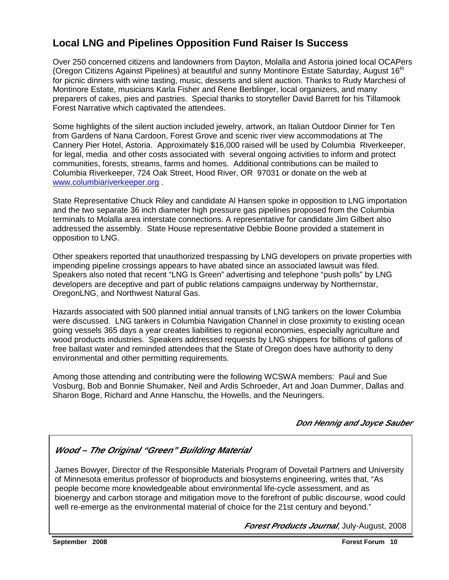# **Local LNG and Pipelines Opposition Fund Raiser Is Success**

Over 250 concerned citizens and landowners from Dayton, Molalla and Astoria joined local OCAPers (Oregon Citizens Against Pipelines) at beautiful and sunny Montinore Estate Saturday, August  $16<sup>th</sup>$ for picnic dinners with wine tasting, music, desserts and silent auction. Thanks to Rudy Marchesi of Montinore Estate, musicians Karla Fisher and Rene Berblinger, local organizers, and many preparers of cakes, pies and pastries. Special thanks to storyteller David Barrett for his Tillamook Forest Narrative which captivated the attendees.

Some highlights of the silent auction included jewelry, artwork, an Italian Outdoor Dinner for Ten from Gardens of Nana Cardoon, Forest Grove and scenic river view accommodations at The Cannery Pier Hotel, Astoria. Approximately \$16,000 raised will be used by Columbia Riverkeeper, for legal, media and other costs associated with several ongoing activities to inform and protect communities, forests, streams, farms and homes. Additional contributions can be mailed to Columbia Riverkeeper, 724 Oak Street, Hood River, OR 97031 or donate on the web at www.columbiariverkeeper.org .

State Representative Chuck Riley and candidate Al Hansen spoke in opposition to LNG importation and the two separate 36 inch diameter high pressure gas pipelines proposed from the Columbia terminals to Molalla area interstate connections. A representative for candidate Jim Gilbert also addressed the assembly. State House representative Debbie Boone provided a statement in opposition to LNG.

Other speakers reported that unauthorized trespassing by LNG developers on private properties with impending pipeline crossings appears to have abated since an associated lawsuit was filed. Speakers also noted that recent "LNG Is Green" advertising and telephone "push polls" by LNG developers are deceptive and part of public relations campaigns underway by Northernstar, OregonLNG, and Northwest Natural Gas.

Hazards associated with 500 planned initial annual transits of LNG tankers on the lower Columbia were discussed. LNG tankers in Columbia Navigation Channel in close proximity to existing ocean going vessels 365 days a year creates liabilities to regional economies, especially agriculture and wood products industries. Speakers addressed requests by LNG shippers for billions of gallons of free ballast water and reminded attendees that the State of Oregon does have authority to deny environmental and other permitting requirements.

Among those attending and contributing were the following WCSWA members: Paul and Sue Vosburg, Bob and Bonnie Shumaker, Neil and Ardis Schroeder, Art and Joan Dummer, Dallas and Sharon Boge, Richard and Anne Hanschu, the Howells, and the Neuringers.

### **Don Hennig and Joyce Sauber**

### **Wood – The Original "Green" Building Material**

James Bowyer, Director of the Responsible Materials Program of Dovetail Partners and University of Minnesota emeritus professor of bioproducts and biosystems engineering, writes that, "As people become more knowledgeable about environmental life-cycle assessment, and as bioenergy and carbon storage and mitigation move to the forefront of public discourse, wood could well re-emerge as the environmental material of choice for the 21st century and beyond."

**Forest Products Journal**, July-August, 2008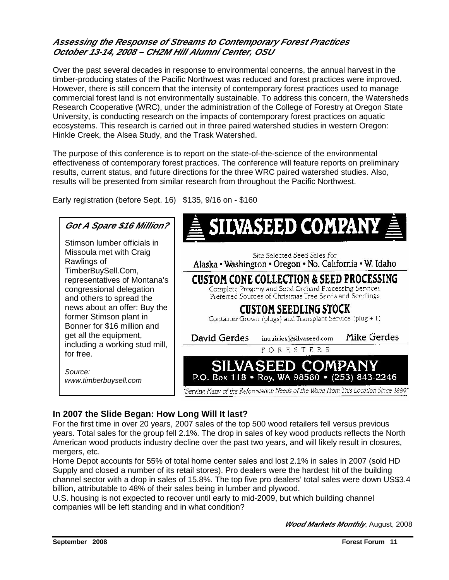### **Assessing the Response of Streams to Contemporary Forest Practices October 13-14, 2008 – CH2M Hill Alumni Center, OSU**

Over the past several decades in response to environmental concerns, the annual harvest in the timber-producing states of the Pacific Northwest was reduced and forest practices were improved. However, there is still concern that the intensity of contemporary forest practices used to manage commercial forest land is not environmentally sustainable. To address this concern, the Watersheds Research Cooperative (WRC), under the administration of the College of Forestry at Oregon State University, is conducting research on the impacts of contemporary forest practices on aquatic ecosystems. This research is carried out in three paired watershed studies in western Oregon: Hinkle Creek, the Alsea Study, and the Trask Watershed.

The purpose of this conference is to report on the state-of-the-science of the environmental effectiveness of contemporary forest practices. The conference will feature reports on preliminary results, current status, and future directions for the three WRC paired watershed studies. Also, results will be presented from similar research from throughout the Pacific Northwest.

Early registration (before Sept. 16) \$135, 9/16 on - \$160



### **In 2007 the Slide Began: How Long Will It last?**

For the first time in over 20 years, 2007 sales of the top 500 wood retailers fell versus previous years. Total sales for the group fell 2.1%. The drop in sales of key wood products reflects the North American wood products industry decline over the past two years, and will likely result in closures, mergers, etc.

Home Depot accounts for 55% of total home center sales and lost 2.1% in sales in 2007 (sold HD Supply and closed a number of its retail stores). Pro dealers were the hardest hit of the building channel sector with a drop in sales of 15.8%. The top five pro dealers' total sales were down US\$3.4 billion, attributable to 48% of their sales being in lumber and plywood.

U.S. housing is not expected to recover until early to mid-2009, but which building channel companies will be left standing and in what condition?

**Wood Markets Monthly**, August, 2008